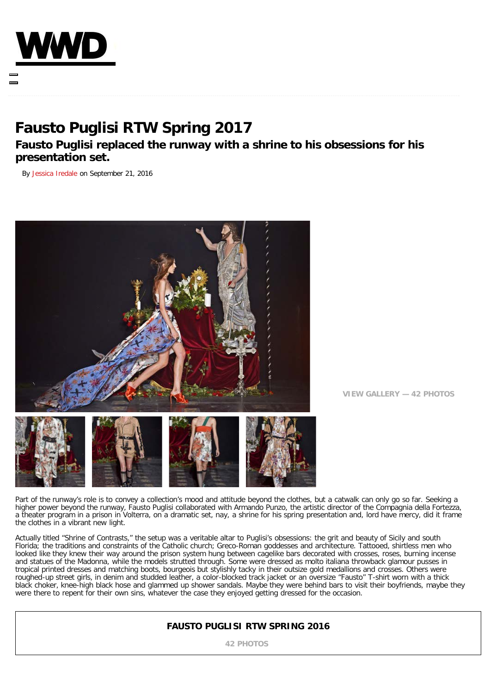

## **Fausto Puglisi RTW Spring 2017**

**Fausto Puglisi replaced the runway with a shrine to his obsessions for his presentation set.**

By [Jessica Iredale](http://wwd.com/wwd-masthead/jessica-iredale/) on September 21, 2016



**[VIEW GALLERY — 42](http://wwd.com/fashion-news/shows-reviews/gallery/fausto-puglisi-rtw-spring-10558220/) PHOTOS**

Part of the runway's role is to convey a collection's mood and attitude beyond the clothes, but a catwalk can only go so far. Seeking a higher power beyond the runway, Fausto Puglisi collaborated with Armando Punzo, the artistic director of the Compagnia della Fortezza, a theater program in a prison in Volterra, on a dramatic set, nay, a shrine for his spring presentation and, lord have mercy, did it frame the clothes in a vibrant new light.

Actually titled "Shrine of Contrasts," the setup was a veritable altar to Puglisi's obsessions: the grit and beauty of Sicily and south Florida; the traditions and constraints of the Catholic church; Greco-Roman goddesses and architecture. Tattooed, shirtless men who looked like they knew their way around the prison system hung between cagelike bars decorated with crosses, roses, burning incense and statues of the Madonna, while the models strutted through. Some were dressed as molto italiana throwback glamour pusses in tropical printed dresses and matching boots, bourgeois but stylishly tacky in their outsize gold medallions and crosses. Others were roughed-up street girls, in denim and studded leather, a color-blocked track jacket or an oversize "Fausto" T-shirt worn with a thick black choker, knee-high black hose and glammed up shower sandals. Maybe they were behind bars to visit their boyfriends, maybe they were there to repent for their own sins, whatever the case they enjoyed getting dressed for the occasion.

## **[FAUSTO PUGLISI RTW SPRING 2016](http://wwd.com/fashion-news/shows-reviews/gallery/fausto-puglisi-rtw-spring-10558220/)**

**42 [PHOTOS](http://wwd.com/fashion-news/shows-reviews/gallery/fausto-puglisi-rtw-spring-10558220/)**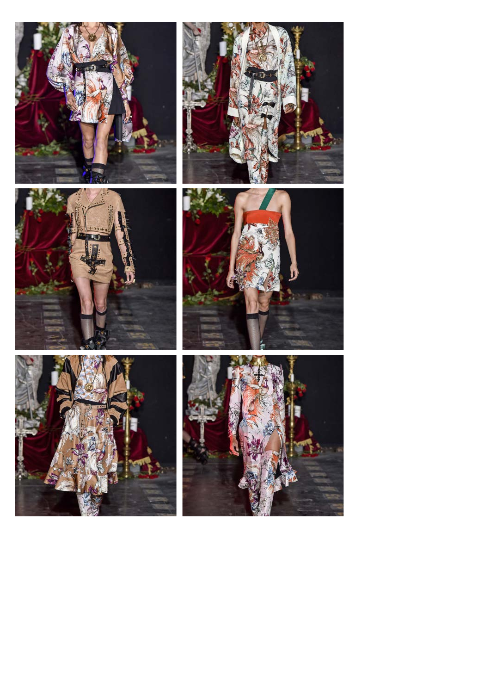